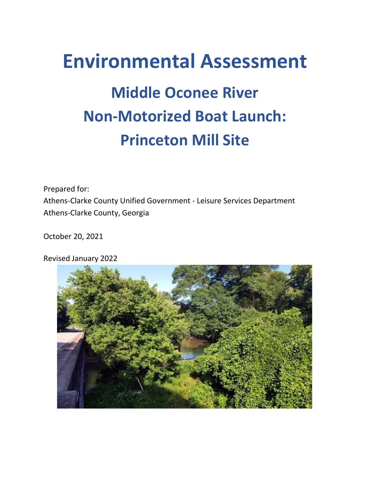# **Environmental Assessment Middle Oconee River Non-Motorized Boat Launch: Princeton Mill Site**

Prepared for: Athens-Clarke County Unified Government - Leisure Services Department Athens-Clarke County, Georgia

October 20, 2021

Revised January 2022

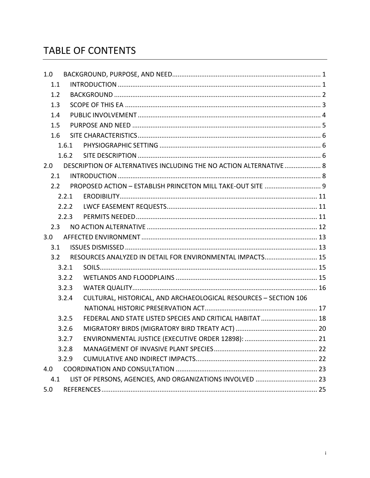# **TABLE OF CONTENTS**

| 1.0                                                              |                                                                  |                                                                    |  |  |
|------------------------------------------------------------------|------------------------------------------------------------------|--------------------------------------------------------------------|--|--|
| 1.1                                                              |                                                                  |                                                                    |  |  |
| 1.2                                                              |                                                                  |                                                                    |  |  |
| 1.3                                                              |                                                                  |                                                                    |  |  |
| 1.4                                                              |                                                                  |                                                                    |  |  |
| 1.5                                                              |                                                                  |                                                                    |  |  |
| 1.6                                                              |                                                                  |                                                                    |  |  |
|                                                                  | 1.6.1                                                            |                                                                    |  |  |
|                                                                  | 1.6.2                                                            |                                                                    |  |  |
| 2.0                                                              |                                                                  | DESCRIPTION OF ALTERNATIVES INCLUDING THE NO ACTION ALTERNATIVE  8 |  |  |
| 2.1                                                              |                                                                  |                                                                    |  |  |
| 2.2                                                              |                                                                  | PROPOSED ACTION - ESTABLISH PRINCETON MILL TAKE-OUT SITE  9        |  |  |
|                                                                  | 2.2.1                                                            |                                                                    |  |  |
|                                                                  | 2.2.2                                                            |                                                                    |  |  |
|                                                                  | 2.2.3                                                            |                                                                    |  |  |
| 2.3                                                              |                                                                  |                                                                    |  |  |
| 3.0                                                              |                                                                  |                                                                    |  |  |
| 3.1                                                              |                                                                  |                                                                    |  |  |
| RESOURCES ANALYZED IN DETAIL FOR ENVIRONMENTAL IMPACTS 15<br>3.2 |                                                                  |                                                                    |  |  |
|                                                                  | 3.2.1                                                            |                                                                    |  |  |
|                                                                  | 3.2.2                                                            |                                                                    |  |  |
|                                                                  | 3.2.3                                                            |                                                                    |  |  |
|                                                                  | 3.2.4                                                            | CULTURAL, HISTORICAL, AND ARCHAEOLOGICAL RESOURCES - SECTION 106   |  |  |
|                                                                  |                                                                  |                                                                    |  |  |
|                                                                  | 3.2.5                                                            | FEDERAL AND STATE LISTED SPECIES AND CRITICAL HABITAT  18          |  |  |
|                                                                  | 3.2.6                                                            |                                                                    |  |  |
|                                                                  | 3.2.7                                                            |                                                                    |  |  |
|                                                                  | 3.2.8                                                            |                                                                    |  |  |
|                                                                  | 3.2.9                                                            |                                                                    |  |  |
| 4.0                                                              |                                                                  |                                                                    |  |  |
|                                                                  | 4.1<br>LIST OF PERSONS, AGENCIES, AND ORGANIZATIONS INVOLVED  23 |                                                                    |  |  |
| 5.0                                                              |                                                                  |                                                                    |  |  |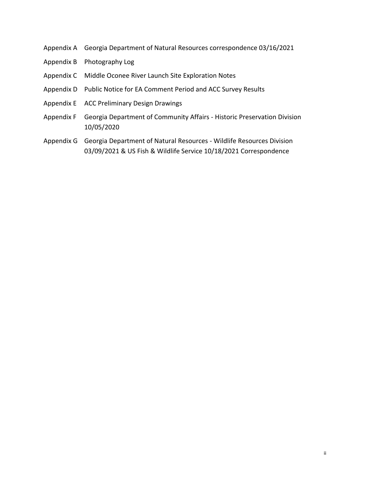- Appendix A Georgia Department of Natural Resources correspondence 03/16/2021
- Appendix B Photography Log
- Appendix C Middle Oconee River Launch Site Exploration Notes
- Appendix D Public Notice for EA Comment Period and ACC Survey Results
- Appendix E ACC Preliminary Design Drawings
- Appendix F Georgia Department of Community Affairs Historic Preservation Division 10/05/2020
- Appendix G Georgia Department of Natural Resources Wildlife Resources Division 03/09/2021 & US Fish & Wildlife Service 10/18/2021 Correspondence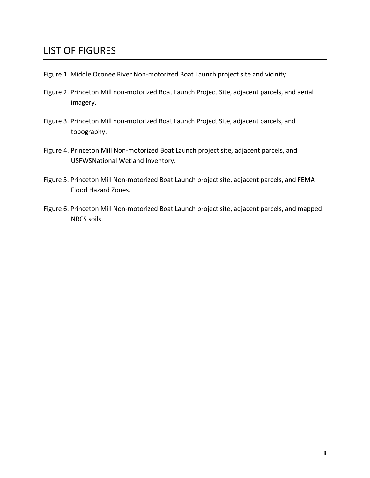# LIST OF FIGURES

- Figure 1. Middle Oconee River Non-motorized Boat Launch project site and vicinity.
- Figure 2. Princeton Mill non-motorized Boat Launch Project Site, adjacent parcels, and aerial imagery.
- Figure 3. Princeton Mill non-motorized Boat Launch Project Site, adjacent parcels, and topography.
- Figure 4. Princeton Mill Non-motorized Boat Launch project site, adjacent parcels, and USFWSNational Wetland Inventory.
- Figure 5. Princeton Mill Non-motorized Boat Launch project site, adjacent parcels, and FEMA Flood Hazard Zones.
- Figure 6. Princeton Mill Non-motorized Boat Launch project site, adjacent parcels, and mapped NRCS soils.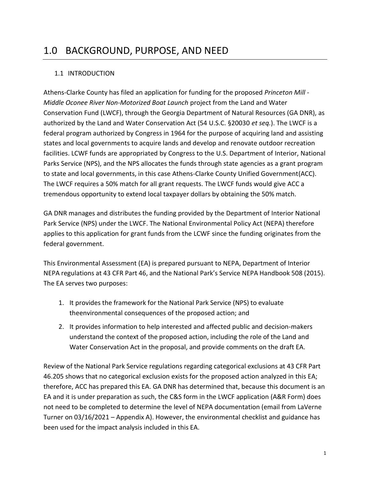# <span id="page-4-0"></span>1.0 BACKGROUND, PURPOSE, AND NEED

# <span id="page-4-1"></span>1.1 INTRODUCTION

Athens-Clarke County has filed an application for funding for the proposed *Princeton Mill - Middle Oconee River Non-Motorized Boat Launch* project from the Land and Water Conservation Fund (LWCF), through the Georgia Department of Natural Resources (GA DNR), as authorized by the Land and Water Conservation Act (54 U.S.C. §20030 *et seq.*). The LWCF is a federal program authorized by Congress in 1964 for the purpose of acquiring land and assisting states and local governments to acquire lands and develop and renovate outdoor recreation facilities. LCWF funds are appropriated by Congress to the U.S. Department of Interior, National Parks Service (NPS), and the NPS allocates the funds through state agencies as a grant program to state and local governments, in this case Athens-Clarke County Unified Government(ACC). The LWCF requires a 50% match for all grant requests. The LWCF funds would give ACC a tremendous opportunity to extend local taxpayer dollars by obtaining the 50% match.

GA DNR manages and distributes the funding provided by the Department of Interior National Park Service (NPS) under the LWCF. The National Environmental Policy Act (NEPA) therefore applies to this application for grant funds from the LCWF since the funding originates from the federal government.

This Environmental Assessment (EA) is prepared pursuant to NEPA, Department of Interior NEPA regulations at 43 CFR Part 46, and the National Park's Service NEPA Handbook 508 (2015). The EA serves two purposes:

- 1. It provides the framework for the National Park Service (NPS) to evaluate theenvironmental consequences of the proposed action; and
- 2. It provides information to help interested and affected public and decision-makers understand the context of the proposed action, including the role of the Land and Water Conservation Act in the proposal, and provide comments on the draft EA.

Review of the National Park Service regulations regarding categorical exclusions at 43 CFR Part 46.205 shows that no categorical exclusion exists for the proposed action analyzed in this EA; therefore, ACC has prepared this EA. GA DNR has determined that, because this document is an EA and it is under preparation as such, the C&S form in the LWCF application (A&R Form) does not need to be completed to determine the level of NEPA documentation (email from LaVerne Turner on 03/16/2021 – Appendix A). However, the environmental checklist and guidance has been used for the impact analysis included in this EA.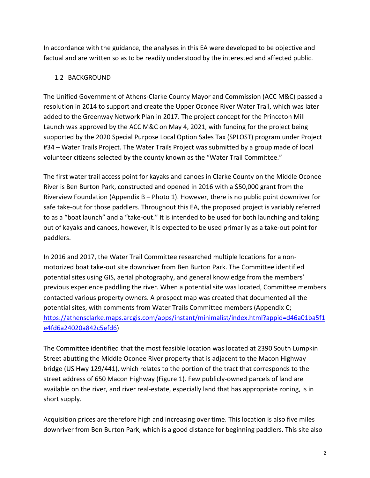In accordance with the guidance, the analyses in this EA were developed to be objective and factual and are written so as to be readily understood by the interested and affected public.

# <span id="page-5-0"></span>1.2 BACKGROUND

The Unified Government of Athens-Clarke County Mayor and Commission (ACC M&C) passed a resolution in 2014 to support and create the Upper Oconee River Water Trail, which was later added to the Greenway Network Plan in 2017. The project concept for the Princeton Mill Launch was approved by the ACC M&C on May 4, 2021, with funding for the project being supported by the 2020 Special Purpose Local Option Sales Tax (SPLOST) program under Project #34 – Water Trails Project. The Water Trails Project was submitted by a group made of local volunteer citizens selected by the county known as the "Water Trail Committee."

The first water trail access point for kayaks and canoes in Clarke County on the Middle Oconee River is Ben Burton Park, constructed and opened in 2016 with a \$50,000 grant from the Riverview Foundation (Appendix B – Photo 1). However, there is no public point downriver for safe take-out for those paddlers. Throughout this EA, the proposed project is variably referred to as a "boat launch" and a "take-out." It is intended to be used for both launching and taking out of kayaks and canoes, however, it is expected to be used primarily as a take-out point for paddlers.

In 2016 and 2017, the Water Trail Committee researched multiple locations for a nonmotorized boat take-out site downriver from Ben Burton Park. The Committee identified potential sites using GIS, aerial photography, and general knowledge from the members' previous experience paddling the river. When a potential site was located, Committee members contacted various property owners. A prospect map was created that documented all the potential sites, with comments from Water Trails Committee members (Appendix C; [https://athensclarke.maps.arcgis.com/apps/instant/minimalist/index.html?appid=d46a01ba5f1](https://athensclarke.maps.arcgis.com/apps/instant/minimalist/index.html?appid=d46a01ba5f1e4fd6a24020a842c5efd6) [e4fd6a24020a842c5efd6\)](https://athensclarke.maps.arcgis.com/apps/instant/minimalist/index.html?appid=d46a01ba5f1e4fd6a24020a842c5efd6)

The Committee identified that the most feasible location was located at 2390 South Lumpkin Street abutting the Middle Oconee River property that is adjacent to the Macon Highway bridge (US Hwy 129/441), which relates to the portion of the tract that corresponds to the street address of 650 Macon Highway (Figure 1). Few publicly-owned parcels of land are available on the river, and river real-estate, especially land that has appropriate zoning, is in short supply.

Acquisition prices are therefore high and increasing over time. This location is also five miles downriver from Ben Burton Park, which is a good distance for beginning paddlers. This site also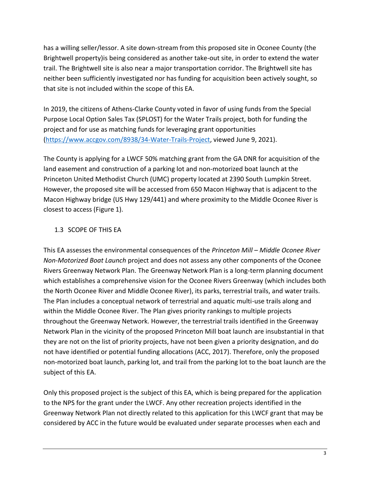has a willing seller/lessor. A site down-stream from this proposed site in Oconee County (the Brightwell property)is being considered as another take-out site, in order to extend the water trail. The Brightwell site is also near a major transportation corridor. The Brightwell site has neither been sufficiently investigated nor has funding for acquisition been actively sought, so that site is not included within the scope of this EA.

In 2019, the citizens of Athens-Clarke County voted in favor of using funds from the Special Purpose Local Option Sales Tax (SPLOST) for the Water Trails project, both for funding the project and for use as matching funds for leveraging grant opportunities [\(https://www.accgov.com/8938/34-Water-Trails-Project,](https://www.accgov.com/8938/34-Water-Trails-Project) viewed June 9, 2021).

The County is applying for a LWCF 50% matching grant from the GA DNR for acquisition of the land easement and construction of a parking lot and non-motorized boat launch at the Princeton United Methodist Church (UMC) property located at 2390 South Lumpkin Street. However, the proposed site will be accessed from 650 Macon Highway that is adjacent to the Macon Highway bridge (US Hwy 129/441) and where proximity to the Middle Oconee River is closest to access (Figure 1).

# <span id="page-6-0"></span>1.3 SCOPE OF THIS EA

This EA assesses the environmental consequences of the *Princeton Mill – Middle Oconee River Non-Motorized Boat Launch* project and does not assess any other components of the Oconee Rivers Greenway Network Plan. The Greenway Network Plan is a long-term planning document which establishes a comprehensive vision for the Oconee Rivers Greenway (which includes both the North Oconee River and Middle Oconee River), its parks, terrestrial trails, and water trails. The Plan includes a conceptual network of terrestrial and aquatic multi-use trails along and within the Middle Oconee River. The Plan gives priority rankings to multiple projects throughout the Greenway Network. However, the terrestrial trails identified in the Greenway Network Plan in the vicinity of the proposed Princeton Mill boat launch are insubstantial in that they are not on the list of priority projects, have not been given a priority designation, and do not have identified or potential funding allocations (ACC, 2017). Therefore, only the proposed non-motorized boat launch, parking lot, and trail from the parking lot to the boat launch are the subject of this EA.

Only this proposed project is the subject of this EA, which is being prepared for the application to the NPS for the grant under the LWCF. Any other recreation projects identified in the Greenway Network Plan not directly related to this application for this LWCF grant that may be considered by ACC in the future would be evaluated under separate processes when each and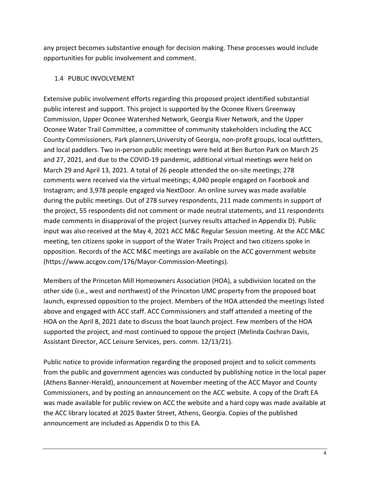any project becomes substantive enough for decision making. These processes would include opportunities for public involvement and comment.

#### <span id="page-7-0"></span>1.4 PUBLIC INVOLVEMENT

Extensive public involvement efforts regarding this proposed project identified substantial public interest and support. This project is supported by the Oconee Rivers Greenway Commission, Upper Oconee Watershed Network, Georgia River Network, and the Upper Oconee Water Trail Committee, a committee of community stakeholders including the ACC County Commissioners, Park planners,University of Georgia, non-profit groups, local outfitters, and local paddlers. Two in-person public meetings were held at Ben Burton Park on March 25 and 27, 2021, and due to the COVID-19 pandemic, additional virtual meetings were held on March 29 and April 13, 2021. A total of 26 people attended the on-site meetings; 278 comments were received via the virtual meetings; 4,040 people engaged on Facebook and Instagram; and 3,978 people engaged via NextDoor. An online survey was made available during the public meetings. Out of 278 survey respondents, 211 made comments in support of the project, 55 respondents did not comment or made neutral statements, and 11 respondents made comments in disapproval of the project (survey results attached in Appendix D). Public input was also received at the May 4, 2021 ACC M&C Regular Session meeting. At the ACC M&C meeting, ten citizens spoke in support of the Water Trails Project and two citizens spoke in opposition. Records of the ACC M&C meetings are available on the ACC government website (https://www.accgov.com/176/Mayor-Commission-Meetings).

Members of the Princeton Mill Homeowners Association (HOA), a subdivision located on the other side (i.e., west and northwest) of the Princeton UMC property from the proposed boat launch, expressed opposition to the project. Members of the HOA attended the meetings listed above and engaged with ACC staff. ACC Commissioners and staff attended a meeting of the HOA on the April 8, 2021 date to discuss the boat launch project. Few members of the HOA supported the project, and most continued to oppose the project (Melinda Cochran Davis, Assistant Director, ACC Leisure Services, pers. comm. 12/13/21).

Public notice to provide information regarding the proposed project and to solicit comments from the public and government agencies was conducted by publishing notice in the local paper (Athens Banner-Herald), announcement at November meeting of the ACC Mayor and County Commissioners, and by posting an announcement on the ACC website. A copy of the Draft EA was made available for public review on ACC the website and a hard copy was made available at the ACC library located at 2025 Baxter Street, Athens, Georgia. Copies of the published announcement are included as Appendix D to this EA.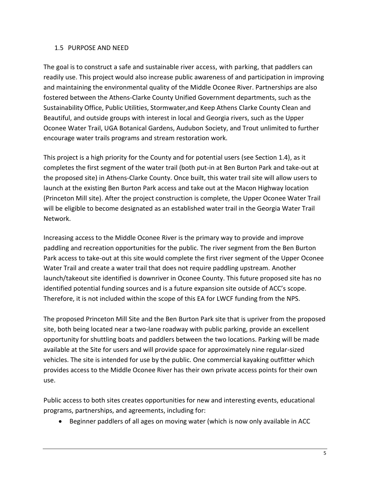#### <span id="page-8-0"></span>1.5 PURPOSE AND NEED

The goal is to construct a safe and sustainable river access, with parking, that paddlers can readily use. This project would also increase public awareness of and participation in improving and maintaining the environmental quality of the Middle Oconee River. Partnerships are also fostered between the Athens-Clarke County Unified Government departments, such as the Sustainability Office, Public Utilities, Stormwater,and Keep Athens Clarke County Clean and Beautiful, and outside groups with interest in local and Georgia rivers, such as the Upper Oconee Water Trail, UGA Botanical Gardens, Audubon Society, and Trout unlimited to further encourage water trails programs and stream restoration work.

This project is a high priority for the County and for potential users (see Section 1.4), as it completes the first segment of the water trail (both put-in at Ben Burton Park and take-out at the proposed site) in Athens-Clarke County. Once built, this water trail site will allow users to launch at the existing Ben Burton Park access and take out at the Macon Highway location (Princeton Mill site). After the project construction is complete, the Upper Oconee Water Trail will be eligible to become designated as an established water trail in the Georgia Water Trail Network.

Increasing access to the Middle Oconee River is the primary way to provide and improve paddling and recreation opportunities for the public. The river segment from the Ben Burton Park access to take-out at this site would complete the first river segment of the Upper Oconee Water Trail and create a water trail that does not require paddling upstream. Another launch/takeout site identified is downriver in Oconee County. This future proposed site has no identified potential funding sources and is a future expansion site outside of ACC's scope. Therefore, it is not included within the scope of this EA for LWCF funding from the NPS.

The proposed Princeton Mill Site and the Ben Burton Park site that is upriver from the proposed site, both being located near a two-lane roadway with public parking, provide an excellent opportunity for shuttling boats and paddlers between the two locations. Parking will be made available at the Site for users and will provide space for approximately nine regular-sized vehicles. The site is intended for use by the public. One commercial kayaking outfitter which provides access to the Middle Oconee River has their own private access points for their own use.

Public access to both sites creates opportunities for new and interesting events, educational programs, partnerships, and agreements, including for:

Beginner paddlers of all ages on moving water (which is now only available in ACC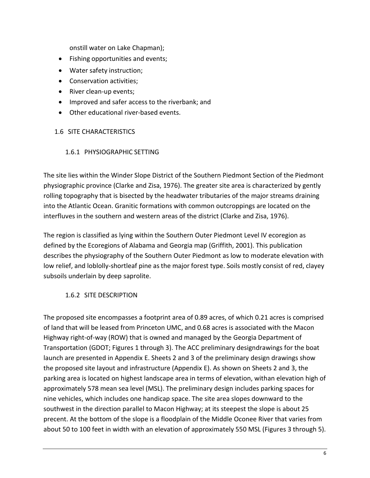onstill water on Lake Chapman);

- Fishing opportunities and events;
- Water safety instruction;
- Conservation activities;
- River clean-up events;
- Improved and safer access to the riverbank; and
- Other educational river-based events.

#### <span id="page-9-0"></span>1.6 SITE CHARACTERISTICS

#### <span id="page-9-1"></span>1.6.1 PHYSIOGRAPHIC SETTING

The site lies within the Winder Slope District of the Southern Piedmont Section of the Piedmont physiographic province (Clarke and Zisa, 1976). The greater site area is characterized by gently rolling topography that is bisected by the headwater tributaries of the major streams draining into the Atlantic Ocean. Granitic formations with common outcroppings are located on the interfluves in the southern and western areas of the district (Clarke and Zisa, 1976).

The region is classified as lying within the Southern Outer Piedmont Level IV ecoregion as defined by the Ecoregions of Alabama and Georgia map (Griffith, 2001). This publication describes the physiography of the Southern Outer Piedmont as low to moderate elevation with low relief, and loblolly-shortleaf pine as the major forest type. Soils mostly consist of red, clayey subsoils underlain by deep saprolite.

#### 1.6.2 SITE DESCRIPTION

<span id="page-9-2"></span>The proposed site encompasses a footprint area of 0.89 acres, of which 0.21 acres is comprised of land that will be leased from Princeton UMC, and 0.68 acres is associated with the Macon Highway right-of-way (ROW) that is owned and managed by the Georgia Department of Transportation (GDOT; Figures 1 through 3). The ACC preliminary designdrawings for the boat launch are presented in Appendix E. Sheets 2 and 3 of the preliminary design drawings show the proposed site layout and infrastructure (Appendix E). As shown on Sheets 2 and 3, the parking area is located on highest landscape area in terms of elevation, withan elevation high of approximately 578 mean sea level (MSL). The preliminary design includes parking spaces for nine vehicles, which includes one handicap space. The site area slopes downward to the southwest in the direction parallel to Macon Highway; at its steepest the slope is about 25 precent. At the bottom of the slope is a floodplain of the Middle Oconee River that varies from about 50 to 100 feet in width with an elevation of approximately 550 MSL (Figures 3 through 5).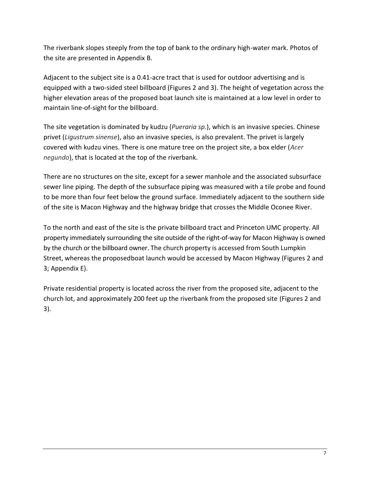The riverbank slopes steeply from the top of bank to the ordinary high-water mark. Photos of the site are presented in Appendix B.

Adjacent to the subject site is a 0.41-acre tract that is used for outdoor advertising and is equipped with a two-sided steel billboard (Figures 2 and 3). The height of vegetation across the higher elevation areas of the proposed boat launch site is maintained at a low level in order to maintain line-of-sight for the billboard.

The site vegetation is dominated by kudzu (*Pueraria sp.*), which is an invasive species. Chinese privet (*Ligustrum sinense*), also an invasive species, is also prevalent. The privet is largely covered with kudzu vines. There is one mature tree on the project site, a box elder (*Acer negundo*), that is located at the top of the riverbank.

There are no structures on the site, except for a sewer manhole and the associated subsurface sewer line piping. The depth of the subsurface piping was measured with a tile probe and found to be more than four feet below the ground surface. Immediately adjacent to the southern side of the site is Macon Highway and the highway bridge that crosses the Middle Oconee River.

To the north and east of the site is the private billboard tract and Princeton UMC property. All property immediately surrounding the site outside of the right-of-way for Macon Highway is owned by the church or the billboard owner. The church property is accessed from South Lumpkin Street, whereas the proposedboat launch would be accessed by Macon Highway (Figures 2 and 3; Appendix E).

Private residential property is located across the river from the proposed site, adjacent to the church lot, and approximately 200 feet up the riverbank from the proposed site (Figures 2 and 3).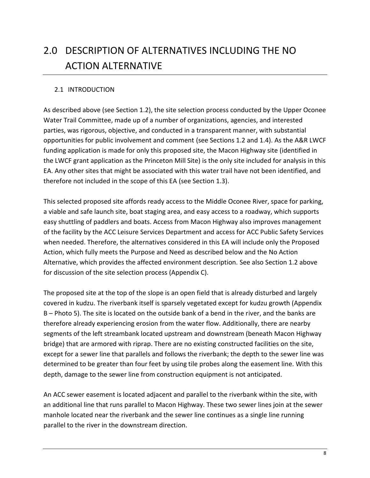# <span id="page-11-0"></span>2.0 DESCRIPTION OF ALTERNATIVES INCLUDING THE NO ACTION ALTERNATIVE

#### <span id="page-11-1"></span>2.1 INTRODUCTION

As described above (see Section 1.2), the site selection process conducted by the Upper Oconee Water Trail Committee, made up of a number of organizations, agencies, and interested parties, was rigorous, objective, and conducted in a transparent manner, with substantial opportunities for public involvement and comment (see Sections 1.2 and 1.4). As the A&R LWCF funding application is made for only this proposed site, the Macon Highway site (identified in the LWCF grant application as the Princeton Mill Site) is the only site included for analysis in this EA. Any other sites that might be associated with this water trail have not been identified, and therefore not included in the scope of this EA (see Section 1.3).

This selected proposed site affords ready access to the Middle Oconee River, space for parking, a viable and safe launch site, boat staging area, and easy access to a roadway, which supports easy shuttling of paddlers and boats. Access from Macon Highway also improves management of the facility by the ACC Leisure Services Department and access for ACC Public Safety Services when needed. Therefore, the alternatives considered in this EA will include only the Proposed Action, which fully meets the Purpose and Need as described below and the No Action Alternative, which provides the affected environment description. See also Section 1.2 above for discussion of the site selection process (Appendix C).

The proposed site at the top of the slope is an open field that is already disturbed and largely covered in kudzu. The riverbank itself is sparsely vegetated except for kudzu growth (Appendix B – Photo 5). The site is located on the outside bank of a bend in the river, and the banks are therefore already experiencing erosion from the water flow. Additionally, there are nearby segments of the left streambank located upstream and downstream (beneath Macon Highway bridge) that are armored with riprap. There are no existing constructed facilities on the site, except for a sewer line that parallels and follows the riverbank; the depth to the sewer line was determined to be greater than four feet by using tile probes along the easement line. With this depth, damage to the sewer line from construction equipment is not anticipated.

An ACC sewer easement is located adjacent and parallel to the riverbank within the site, with an additional line that runs parallel to Macon Highway. These two sewer lines join at the sewer manhole located near the riverbank and the sewer line continues as a single line running parallel to the river in the downstream direction.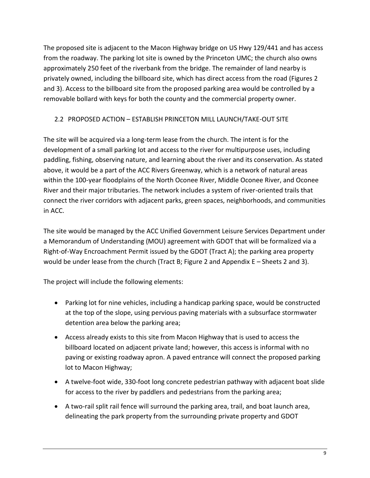The proposed site is adjacent to the Macon Highway bridge on US Hwy 129/441 and has access from the roadway. The parking lot site is owned by the Princeton UMC; the church also owns approximately 250 feet of the riverbank from the bridge. The remainder of land nearby is privately owned, including the billboard site, which has direct access from the road (Figures 2 and 3). Access to the billboard site from the proposed parking area would be controlled by a removable bollard with keys for both the county and the commercial property owner.

## <span id="page-12-0"></span>2.2 PROPOSED ACTION – ESTABLISH PRINCETON MILL LAUNCH/TAKE-OUT SITE

The site will be acquired via a long-term lease from the church. The intent is for the development of a small parking lot and access to the river for multipurpose uses, including paddling, fishing, observing nature, and learning about the river and its conservation. As stated above, it would be a part of the ACC Rivers Greenway, which is a network of natural areas within the 100-year floodplains of the North Oconee River, Middle Oconee River, and Oconee River and their major tributaries. The network includes a system of river-oriented trails that connect the river corridors with adjacent parks, green spaces, neighborhoods, and communities in ACC.

The site would be managed by the ACC Unified Government Leisure Services Department under a Memorandum of Understanding (MOU) agreement with GDOT that will be formalized via a Right-of-Way Encroachment Permit issued by the GDOT (Tract A); the parking area property would be under lease from the church (Tract B; Figure 2 and Appendix E – Sheets 2 and 3).

The project will include the following elements:

- Parking lot for nine vehicles, including a handicap parking space, would be constructed at the top of the slope, using pervious paving materials with a subsurface stormwater detention area below the parking area;
- Access already exists to this site from Macon Highway that is used to access the billboard located on adjacent private land; however, this access is informal with no paving or existing roadway apron. A paved entrance will connect the proposed parking lot to Macon Highway;
- A twelve-foot wide, 330-foot long concrete pedestrian pathway with adjacent boat slide for access to the river by paddlers and pedestrians from the parking area;
- A two-rail split rail fence will surround the parking area, trail, and boat launch area, delineating the park property from the surrounding private property and GDOT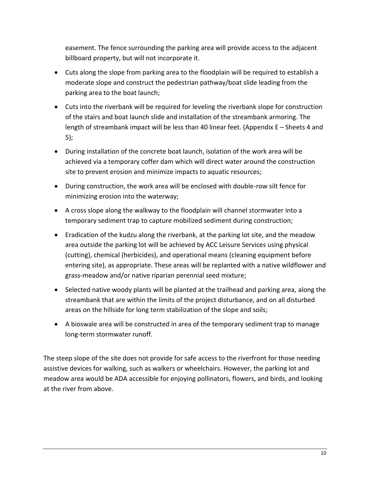easement. The fence surrounding the parking area will provide access to the adjacent billboard property, but will not incorporate it.

- Cuts along the slope from parking area to the floodplain will be required to establish a moderate slope and construct the pedestrian pathway/boat slide leading from the parking area to the boat launch;
- Cuts into the riverbank will be required for leveling the riverbank slope for construction of the stairs and boat launch slide and installation of the streambank armoring. The length of streambank impact will be less than 40 linear feet. (Appendix E – Sheets 4 and 5);
- During installation of the concrete boat launch, isolation of the work area will be achieved via a temporary coffer dam which will direct water around the construction site to prevent erosion and minimize impacts to aquatic resources;
- During construction, the work area will be enclosed with double-row silt fence for minimizing erosion into the waterway;
- A cross slope along the walkway to the floodplain will channel stormwater into a temporary sediment trap to capture mobilized sediment during construction;
- Eradication of the kudzu along the riverbank, at the parking lot site, and the meadow area outside the parking lot will be achieved by ACC Leisure Services using physical (cutting), chemical (herbicides), and operational means (cleaning equipment before entering site), as appropriate. These areas will be replanted with a native wildflower and grass-meadow and/or native riparian perennial seed mixture;
- Selected native woody plants will be planted at the trailhead and parking area, along the streambank that are within the limits of the project disturbance, and on all disturbed areas on the hillside for long term stabilization of the slope and soils;
- A bioswale area will be constructed in area of the temporary sediment trap to manage long-term stormwater runoff.

The steep slope of the site does not provide for safe access to the riverfront for those needing assistive devices for walking, such as walkers or wheelchairs. However, the parking lot and meadow area would be ADA accessible for enjoying pollinators, flowers, and birds, and looking at the river from above.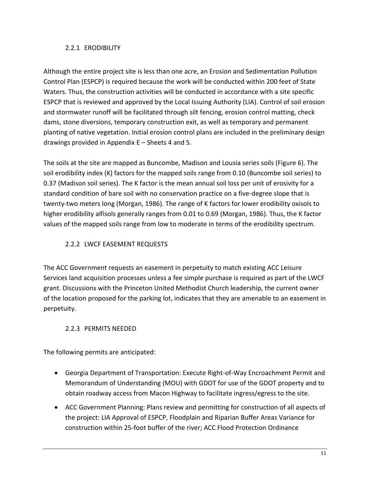## <span id="page-14-0"></span>2.2.1 ERODIBILITY

Although the entire project site is less than one acre, an Erosion and Sedimentation Pollution Control Plan (ESPCP) is required because the work will be conducted within 200 feet of State Waters. Thus, the construction activities will be conducted in accordance with a site specific ESPCP that is reviewed and approved by the Local Issuing Authority (LIA). Control of soil erosion and stormwater runoff will be facilitated through silt fencing, erosion control matting, check dams, stone diversions, temporary construction exit, as well as temporary and permanent planting of native vegetation. Initial erosion control plans are included in the preliminary design drawings provided in Appendix E – Sheets 4 and 5.

The soils at the site are mapped as Buncombe, Madison and Lousia series soils (Figure 6). The soil erodibility index (K) factors for the mapped soils range from 0.10 (Buncombe soil series) to 0.37 (Madison soil series). The K factor is the mean annual soil loss per unit of erosivity for a standard condition of bare soil with no conservation practice on a five-degree slope that is twenty-two meters long (Morgan, 1986). The range of K factors for lower erodibility oxisols to higher erodibility alfisols generally ranges from 0.01 to 0.69 (Morgan, 1986). Thus, the K factor values of the mapped soils range from low to moderate in terms of the erodibility spectrum.

# <span id="page-14-1"></span>2.2.2 LWCF EASEMENT REQUESTS

The ACC Government requests an easement in perpetuity to match existing ACC Leisure Services land acquisition processes unless a fee simple purchase is required as part of the LWCF grant. Discussions with the Princeton United Methodist Church leadership, the current owner of the location proposed for the parking lot, indicates that they are amenable to an easement in perpetuity.

# <span id="page-14-2"></span>2.2.3 PERMITS NEEDED

The following permits are anticipated:

- Georgia Department of Transportation: Execute Right-of-Way Encroachment Permit and Memorandum of Understanding (MOU) with GDOT for use of the GDOT property and to obtain roadway access from Macon Highway to facilitate ingress/egress to the site.
- ACC Government Planning: Plans review and permitting for construction of all aspects of the project: LIA Approval of ESPCP, Floodplain and Riparian Buffer Areas Variance for construction within 25-foot buffer of the river; ACC Flood Protection Ordinance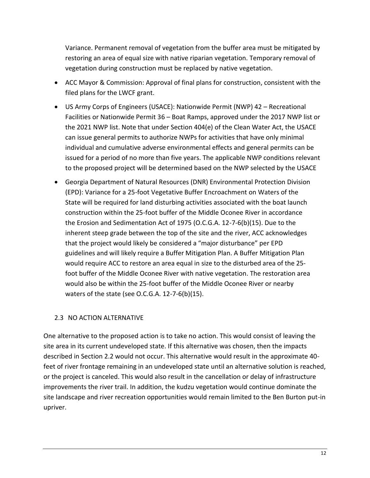Variance. Permanent removal of vegetation from the buffer area must be mitigated by restoring an area of equal size with native riparian vegetation. Temporary removal of vegetation during construction must be replaced by native vegetation.

- ACC Mayor & Commission: Approval of final plans for construction, consistent with the filed plans for the LWCF grant.
- US Army Corps of Engineers (USACE): Nationwide Permit (NWP) 42 Recreational Facilities or Nationwide Permit 36 – Boat Ramps, approved under the 2017 NWP list or the 2021 NWP list. Note that under Section 404(e) of the Clean Water Act, the USACE can issue general permits to authorize NWPs for activities that have only minimal individual and cumulative adverse environmental effects and general permits can be issued for a period of no more than five years. The applicable NWP conditions relevant to the proposed project will be determined based on the NWP selected by the USACE
- Georgia Department of Natural Resources (DNR) Environmental Protection Division (EPD): Variance for a 25-foot Vegetative Buffer Encroachment on Waters of the State will be required for land disturbing activities associated with the boat launch construction within the 25-foot buffer of the Middle Oconee River in accordance the Erosion and Sedimentation Act of 1975 (O.C.G.A. 12-7-6(b)(15). Due to the inherent steep grade between the top of the site and the river, ACC acknowledges that the project would likely be considered a "major disturbance" per EPD guidelines and will likely require a Buffer Mitigation Plan. A Buffer Mitigation Plan would require ACC to restore an area equal in size to the disturbed area of the 25 foot buffer of the Middle Oconee River with native vegetation. The restoration area would also be within the 25-foot buffer of the Middle Oconee River or nearby waters of the state (see O.C.G.A. 12-7-6(b)(15).

#### <span id="page-15-0"></span>2.3 NO ACTION ALTERNATIVE

One alternative to the proposed action is to take no action. This would consist of leaving the site area in its current undeveloped state. If this alternative was chosen, then the impacts described in Section 2.2 would not occur. This alternative would result in the approximate 40 feet of river frontage remaining in an undeveloped state until an alternative solution is reached, or the project is canceled. This would also result in the cancellation or delay of infrastructure improvements the river trail. In addition, the kudzu vegetation would continue dominate the site landscape and river recreation opportunities would remain limited to the Ben Burton put-in upriver.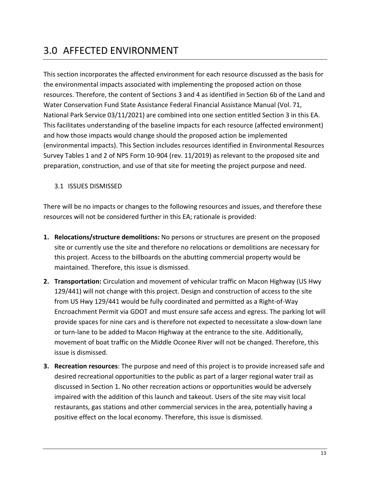# <span id="page-16-0"></span>3.0 AFFECTED ENVIRONMENT

This section incorporates the affected environment for each resource discussed as the basis for the environmental impacts associated with implementing the proposed action on those resources. Therefore, the content of Sections 3 and 4 as identified in Section 6b of the Land and Water Conservation Fund State Assistance Federal Financial Assistance Manual (Vol. 71, National Park Service 03/11/2021) are combined into one section entitled Section 3 in this EA. This facilitates understanding of the baseline impacts for each resource (affected environment) and how those impacts would change should the proposed action be implemented (environmental impacts). This Section includes resources identified in Environmental Resources Survey Tables 1 and 2 of NPS Form 10-904 (rev. 11/2019) as relevant to the proposed site and preparation, construction, and use of that site for meeting the project purpose and need.

#### <span id="page-16-1"></span>3.1 ISSUES DISMISSED

There will be no impacts or changes to the following resources and issues, and therefore these resources will not be considered further in this EA; rationale is provided:

- **1. Relocations/structure demolitions:** No persons or structures are present on the proposed site or currently use the site and therefore no relocations or demolitions are necessary for this project. Access to the billboards on the abutting commercial property would be maintained. Therefore, this issue is dismissed.
- **2. Transportation:** Circulation and movement of vehicular traffic on Macon Highway (US Hwy 129/441) will not change with this project. Design and construction of access to the site from US Hwy 129/441 would be fully coordinated and permitted as a Right-of-Way Encroachment Permit via GDOT and must ensure safe access and egress. The parking lot will provide spaces for nine cars and is therefore not expected to necessitate a slow-down lane or turn-lane to be added to Macon Highway at the entrance to the site. Additionally, movement of boat traffic on the Middle Oconee River will not be changed. Therefore, this issue is dismissed.
- **3. Recreation resources**: The purpose and need of this project is to provide increased safe and desired recreational opportunities to the public as part of a larger regional water trail as discussed in Section 1. No other recreation actions or opportunities would be adversely impaired with the addition of this launch and takeout. Users of the site may visit local restaurants, gas stations and other commercial services in the area, potentially having a positive effect on the local economy. Therefore, this issue is dismissed.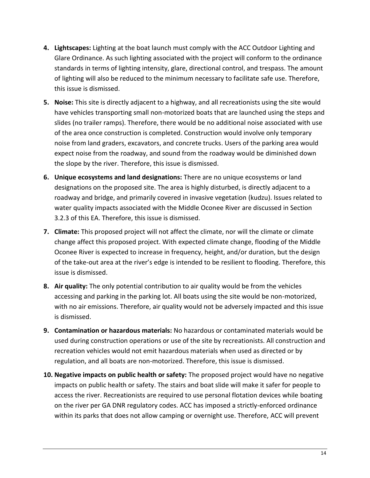- **4. Lightscapes:** Lighting at the boat launch must comply with the ACC Outdoor Lighting and Glare Ordinance. As such lighting associated with the project will conform to the ordinance standards in terms of lighting intensity, glare, directional control, and trespass. The amount of lighting will also be reduced to the minimum necessary to facilitate safe use. Therefore, this issue is dismissed.
- **5. Noise:** This site is directly adjacent to a highway, and all recreationists using the site would have vehicles transporting small non-motorized boats that are launched using the steps and slides (no trailer ramps). Therefore, there would be no additional noise associated with use of the area once construction is completed. Construction would involve only temporary noise from land graders, excavators, and concrete trucks. Users of the parking area would expect noise from the roadway, and sound from the roadway would be diminished down the slope by the river. Therefore, this issue is dismissed.
- **6. Unique ecosystems and land designations:** There are no unique ecosystems or land designations on the proposed site. The area is highly disturbed, is directly adjacent to a roadway and bridge, and primarily covered in invasive vegetation (kudzu). Issues related to water quality impacts associated with the Middle Oconee River are discussed in Section 3.2.3 of this EA. Therefore, this issue is dismissed.
- **7. Climate:** This proposed project will not affect the climate, nor will the climate or climate change affect this proposed project. With expected climate change, flooding of the Middle Oconee River is expected to increase in frequency, height, and/or duration, but the design of the take-out area at the river's edge is intended to be resilient to flooding. Therefore, this issue is dismissed.
- **8. Air quality:** The only potential contribution to air quality would be from the vehicles accessing and parking in the parking lot. All boats using the site would be non-motorized, with no air emissions. Therefore, air quality would not be adversely impacted and this issue is dismissed.
- **9. Contamination or hazardous materials:** No hazardous or contaminated materials would be used during construction operations or use of the site by recreationists. All construction and recreation vehicles would not emit hazardous materials when used as directed or by regulation, and all boats are non-motorized. Therefore, this issue is dismissed.
- **10. Negative impacts on public health or safety:** The proposed project would have no negative impacts on public health or safety. The stairs and boat slide will make it safer for people to access the river. Recreationists are required to use personal flotation devices while boating on the river per GA DNR regulatory codes. ACC has imposed a strictly-enforced ordinance within its parks that does not allow camping or overnight use. Therefore, ACC will prevent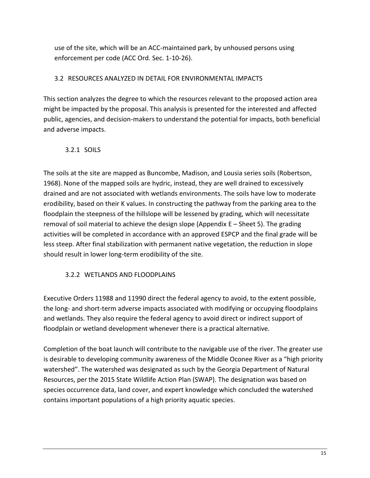use of the site, which will be an ACC-maintained park, by unhoused persons using enforcement per code (ACC Ord. Sec. 1-10-26).

#### <span id="page-18-0"></span>3.2 RESOURCES ANALYZED IN DETAIL FOR ENVIRONMENTAL IMPACTS

This section analyzes the degree to which the resources relevant to the proposed action area might be impacted by the proposal. This analysis is presented for the interested and affected public, agencies, and decision-makers to understand the potential for impacts, both beneficial and adverse impacts.

#### <span id="page-18-1"></span>3.2.1 SOILS

The soils at the site are mapped as Buncombe, Madison, and Lousia series soils (Robertson, 1968). None of the mapped soils are hydric, instead, they are well drained to excessively drained and are not associated with wetlands environments. The soils have low to moderate erodibility, based on their K values. In constructing the pathway from the parking area to the floodplain the steepness of the hillslope will be lessened by grading, which will necessitate removal of soil material to achieve the design slope (Appendix  $E -$  Sheet 5). The grading activities will be completed in accordance with an approved ESPCP and the final grade will be less steep. After final stabilization with permanent native vegetation, the reduction in slope should result in lower long-term erodibility of the site.

#### <span id="page-18-2"></span>3.2.2 WETLANDS AND FLOODPLAINS

Executive Orders 11988 and 11990 direct the federal agency to avoid, to the extent possible, the long- and short-term adverse impacts associated with modifying or occupying floodplains and wetlands. They also require the federal agency to avoid direct or indirect support of floodplain or wetland development whenever there is a practical alternative.

Completion of the boat launch will contribute to the navigable use of the river. The greater use is desirable to developing community awareness of the Middle Oconee River as a "high priority watershed". The watershed was designated as such by the Georgia Department of Natural Resources, per the 2015 State Wildlife Action Plan (SWAP). The designation was based on species occurrence data, land cover, and expert knowledge which concluded the watershed contains important populations of a high priority aquatic species.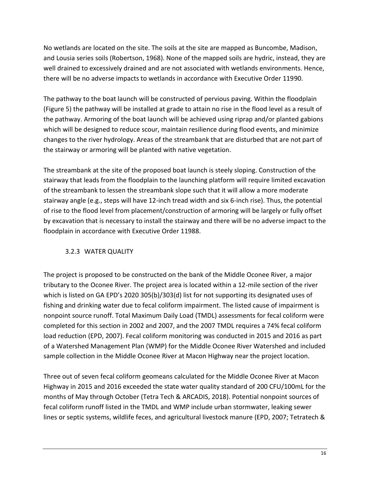No wetlands are located on the site. The soils at the site are mapped as Buncombe, Madison, and Lousia series soils (Robertson, 1968). None of the mapped soils are hydric, instead, they are well drained to excessively drained and are not associated with wetlands environments. Hence, there will be no adverse impacts to wetlands in accordance with Executive Order 11990.

The pathway to the boat launch will be constructed of pervious paving. Within the floodplain (Figure 5) the pathway will be installed at grade to attain no rise in the flood level as a result of the pathway. Armoring of the boat launch will be achieved using riprap and/or planted gabions which will be designed to reduce scour, maintain resilience during flood events, and minimize changes to the river hydrology. Areas of the streambank that are disturbed that are not part of the stairway or armoring will be planted with native vegetation.

The streambank at the site of the proposed boat launch is steely sloping. Construction of the stairway that leads from the floodplain to the launching platform will require limited excavation of the streambank to lessen the streambank slope such that it will allow a more moderate stairway angle (e.g., steps will have 12-inch tread width and six 6-inch rise). Thus, the potential of rise to the flood level from placement/construction of armoring will be largely or fully offset by excavation that is necessary to install the stairway and there will be no adverse impact to the floodplain in accordance with Executive Order 11988.

# <span id="page-19-0"></span>3.2.3 WATER QUALITY

The project is proposed to be constructed on the bank of the Middle Oconee River, a major tributary to the Oconee River. The project area is located within a 12-mile section of the river which is listed on GA EPD's 2020 305(b)/303(d) list for not supporting its designated uses of fishing and drinking water due to fecal coliform impairment. The listed cause of impairment is nonpoint source runoff. Total Maximum Daily Load (TMDL) assessments for fecal coliform were completed for this section in 2002 and 2007, and the 2007 TMDL requires a 74% fecal coliform load reduction (EPD, 2007). Fecal coliform monitoring was conducted in 2015 and 2016 as part of a Watershed Management Plan (WMP) for the Middle Oconee River Watershed and included sample collection in the Middle Oconee River at Macon Highway near the project location.

Three out of seven fecal coliform geomeans calculated for the Middle Oconee River at Macon Highway in 2015 and 2016 exceeded the state water quality standard of 200 CFU/100mL for the months of May through October (Tetra Tech & ARCADIS, 2018). Potential nonpoint sources of fecal coliform runoff listed in the TMDL and WMP include urban stormwater, leaking sewer lines or septic systems, wildlife feces, and agricultural livestock manure (EPD, 2007; Tetratech &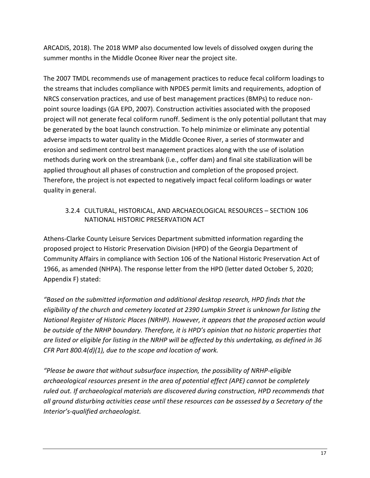ARCADIS, 2018). The 2018 WMP also documented low levels of dissolved oxygen during the summer months in the Middle Oconee River near the project site.

The 2007 TMDL recommends use of management practices to reduce fecal coliform loadings to the streams that includes compliance with NPDES permit limits and requirements, adoption of NRCS conservation practices, and use of best management practices (BMPs) to reduce nonpoint source loadings (GA EPD, 2007). Construction activities associated with the proposed project will not generate fecal coliform runoff. Sediment is the only potential pollutant that may be generated by the boat launch construction. To help minimize or eliminate any potential adverse impacts to water quality in the Middle Oconee River, a series of stormwater and erosion and sediment control best management practices along with the use of isolation methods during work on the streambank (i.e., coffer dam) and final site stabilization will be applied throughout all phases of construction and completion of the proposed project. Therefore, the project is not expected to negatively impact fecal coliform loadings or water quality in general.

#### <span id="page-20-0"></span>3.2.4 CULTURAL, HISTORICAL, AND ARCHAEOLOGICAL RESOURCES – SECTION 106 NATIONAL HISTORIC PRESERVATION ACT

Athens-Clarke County Leisure Services Department submitted information regarding the proposed project to Historic Preservation Division (HPD) of the Georgia Department of Community Affairs in compliance with Section 106 of the National Historic Preservation Act of 1966, as amended (NHPA). The response letter from the HPD (letter dated October 5, 2020; Appendix F) stated:

*"Based on the submitted information and additional desktop research, HPD finds that the eligibility of the church and cemetery located at 2390 Lumpkin Street is unknown for listing the National Register of Historic Places (NRHP). However, it appears that the proposed action would be outside of the NRHP boundary. Therefore, it is HPD's opinion that no historic properties that are listed or eligible for listing in the NRHP will be affected by this undertaking, as defined in 36 CFR Part 800.4(d)(1), due to the scope and location of work.*

*"Please be aware that without subsurface inspection, the possibility of NRHP-eligible archaeological resources present in the area of potential effect (APE) cannot be completely ruled out. If archaeological materials are discovered during construction, HPD recommends that all ground disturbing activities cease until these resources can be assessed by a Secretary of the Interior's-qualified archaeologist.*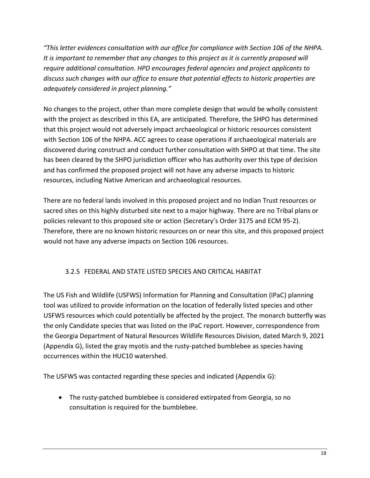*"This letter evidences consultation with our office for compliance with Section 106 of the NHPA. It is important to remember that any changes to this project as it is currently proposed will require additional consultation. HPD encourages federal agencies and project applicants to discuss such changes with our office to ensure that potential effects to historic properties are adequately considered in project planning."*

No changes to the project, other than more complete design that would be wholly consistent with the project as described in this EA, are anticipated. Therefore, the SHPO has determined that this project would not adversely impact archaeological or historic resources consistent with Section 106 of the NHPA. ACC agrees to cease operations if archaeological materials are discovered during construct and conduct further consultation with SHPO at that time. The site has been cleared by the SHPO jurisdiction officer who has authority over this type of decision and has confirmed the proposed project will not have any adverse impacts to historic resources, including Native American and archaeological resources.

There are no federal lands involved in this proposed project and no Indian Trust resources or sacred sites on this highly disturbed site next to a major highway. There are no Tribal plans or policies relevant to this proposed site or action (Secretary's Order 3175 and ECM 95-2). Therefore, there are no known historic resources on or near this site, and this proposed project would not have any adverse impacts on Section 106 resources.

# 3.2.5 FEDERAL AND STATE LISTED SPECIES AND CRITICAL HABITAT

<span id="page-21-0"></span>The US Fish and Wildlife (USFWS) Information for Planning and Consultation (IPaC) planning tool was utilized to provide information on the location of federally listed species and other USFWS resources which could potentially be affected by the project. The monarch butterfly was the only Candidate species that was listed on the IPaC report. However, correspondence from the Georgia Department of Natural Resources Wildlife Resources Division, dated March 9, 2021 (Appendix G), listed the gray myotis and the rusty-patched bumblebee as species having occurrences within the HUC10 watershed.

The USFWS was contacted regarding these species and indicated (Appendix G):

 The rusty-patched bumblebee is considered extirpated from Georgia, so no consultation is required for the bumblebee.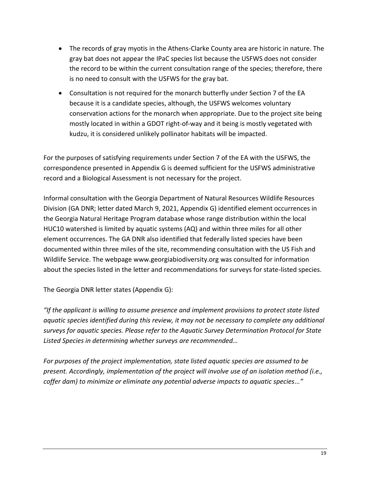- The records of gray myotis in the Athens-Clarke County area are historic in nature. The gray bat does not appear the IPaC species list because the USFWS does not consider the record to be within the current consultation range of the species; therefore, there is no need to consult with the USFWS for the gray bat.
- Consultation is not required for the monarch butterfly under Section 7 of the EA because it is a candidate species, although, the USFWS welcomes voluntary conservation actions for the monarch when appropriate. Due to the project site being mostly located in within a GDOT right-of-way and it being is mostly vegetated with kudzu, it is considered unlikely pollinator habitats will be impacted.

For the purposes of satisfying requirements under Section 7 of the EA with the USFWS, the correspondence presented in Appendix G is deemed sufficient for the USFWS administrative record and a Biological Assessment is not necessary for the project.

Informal consultation with the Georgia Department of Natural Resources Wildlife Resources Division (GA DNR; letter dated March 9, 2021, Appendix G) identified element occurrences in the Georgia Natural Heritage Program database whose range distribution within the local HUC10 watershed is limited by aquatic systems (AQ) and within three miles for all other element occurrences. The GA DNR also identified that federally listed species have been documented within three miles of the site, recommending consultation with the US Fish and Wildlife Service. The webpage www.georgiabiodiversity.org was consulted for information about the species listed in the letter and recommendations for surveys for state-listed species.

The Georgia DNR letter states (Appendix G):

*"If the applicant is willing to assume presence and implement provisions to protect state listed aquatic species identified during this review, it may not be necessary to complete any additional surveys for aquatic species. Please refer to the Aquatic Survey Determination Protocol for State Listed Species in determining whether surveys are recommended…*

*For purposes of the project implementation, state listed aquatic species are assumed to be present. Accordingly, implementation of the project will involve use of an isolation method (i.e., coffer dam) to minimize or eliminate any potential adverse impacts to aquatic species..."*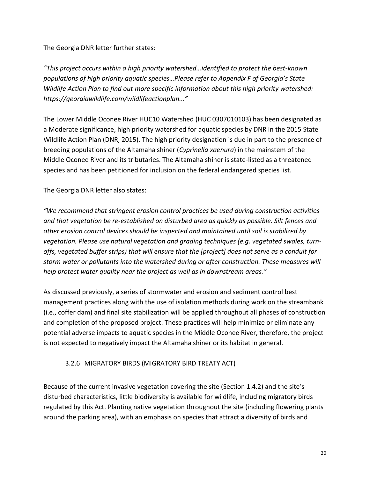The Georgia DNR letter further states:

*"This project occurs within a high priority watershed…identified to protect the best-known populations of high priority aquatic species…Please refer to Appendix F of Georgia's State Wildlife Action Plan to find out more specific information about this high priority watershed: https://georgiawildlife.com/wildlifeactionplan..."*

The Lower Middle Oconee River HUC10 Watershed (HUC 0307010103) has been designated as a Moderate significance, high priority watershed for aquatic species by DNR in the 2015 State Wildlife Action Plan (DNR, 2015). The high priority designation is due in part to the presence of breeding populations of the Altamaha shiner (*Cyprinella xaenura*) in the mainstem of the Middle Oconee River and its tributaries. The Altamaha shiner is state-listed as a threatened species and has been petitioned for inclusion on the federal endangered species list.

The Georgia DNR letter also states:

*"We recommend that stringent erosion control practices be used during construction activities and that vegetation be re-established on disturbed area as quickly as possible. Silt fences and other erosion control devices should be inspected and maintained until soil is stabilized by vegetation. Please use natural vegetation and grading techniques (e.g. vegetated swales, turnoffs, vegetated buffer strips) that will ensure that the [project] does not serve as a conduit for storm water or pollutants into the watershed during or after construction. These measures will help protect water quality near the project as well as in downstream areas."*

As discussed previously, a series of stormwater and erosion and sediment control best management practices along with the use of isolation methods during work on the streambank (i.e., coffer dam) and final site stabilization will be applied throughout all phases of construction and completion of the proposed project. These practices will help minimize or eliminate any potential adverse impacts to aquatic species in the Middle Oconee River, therefore, the project is not expected to negatively impact the Altamaha shiner or its habitat in general.

# <span id="page-23-0"></span>3.2.6 MIGRATORY BIRDS (MIGRATORY BIRD TREATY ACT)

Because of the current invasive vegetation covering the site (Section 1.4.2) and the site's disturbed characteristics, little biodiversity is available for wildlife, including migratory birds regulated by this Act. Planting native vegetation throughout the site (including flowering plants around the parking area), with an emphasis on species that attract a diversity of birds and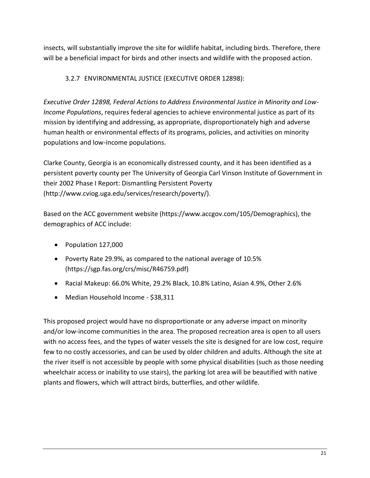insects, will substantially improve the site for wildlife habitat, including birds. Therefore, there will be a beneficial impact for birds and other insects and wildlife with the proposed action.

# 3.2.7 ENVIRONMENTAL JUSTICE (EXECUTIVE ORDER 12898):

<span id="page-24-0"></span>*Executive Order 12898, Federal Actions to Address Environmental Justice in Minority and Low-Income Populations*, requires federal agencies to achieve environmental justice as part of its mission by identifying and addressing, as appropriate, disproportionately high and adverse human health or environmental effects of its programs, policies, and activities on minority populations and low-income populations.

Clarke County, Georgia is an economically distressed county, and it has been identified as a persistent poverty county per The University of Georgia Carl Vinson Institute of Government in their 2002 Phase I Report: Dismantling Persistent Poverty (http://www.cviog.uga.edu/services/research/poverty/).

Based on the ACC government website (https://www.accgov.com/105/Demographics), the demographics of ACC include:

- Population 127,000
- Poverty Rate 29.9%, as compared to the national average of 10.5% (https://sgp.fas.org/crs/misc/R46759.pdf)
- Racial Makeup: 66.0% White, 29.2% Black, 10.8% Latino, Asian 4.9%, Other 2.6%
- Median Household Income \$38,311

This proposed project would have no disproportionate or any adverse impact on minority and/or low-income communities in the area. The proposed recreation area is open to all users with no access fees, and the types of water vessels the site is designed for are low cost, require few to no costly accessories, and can be used by older children and adults. Although the site at the river itself is not accessible by people with some physical disabilities (such as those needing wheelchair access or inability to use stairs), the parking lot area will be beautified with native plants and flowers, which will attract birds, butterflies, and other wildlife.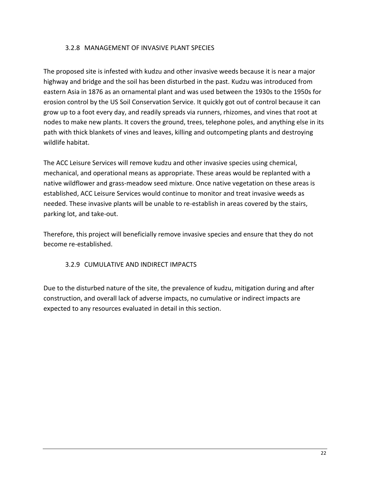#### <span id="page-25-0"></span>3.2.8 MANAGEMENT OF INVASIVE PLANT SPECIES

The proposed site is infested with kudzu and other invasive weeds because it is near a major highway and bridge and the soil has been disturbed in the past. Kudzu was introduced from eastern Asia in 1876 as an ornamental plant and was used between the 1930s to the 1950s for erosion control by the US Soil Conservation Service. It quickly got out of control because it can grow up to a foot every day, and readily spreads via runners, rhizomes, and vines that root at nodes to make new plants. It covers the ground, trees, telephone poles, and anything else in its path with thick blankets of vines and leaves, killing and outcompeting plants and destroying wildlife habitat.

The ACC Leisure Services will remove kudzu and other invasive species using chemical, mechanical, and operational means as appropriate. These areas would be replanted with a native wildflower and grass-meadow seed mixture. Once native vegetation on these areas is established, ACC Leisure Services would continue to monitor and treat invasive weeds as needed. These invasive plants will be unable to re-establish in areas covered by the stairs, parking lot, and take-out.

Therefore, this project will beneficially remove invasive species and ensure that they do not become re-established.

# <span id="page-25-1"></span>3.2.9 CUMULATIVE AND INDIRECT IMPACTS

Due to the disturbed nature of the site, the prevalence of kudzu, mitigation during and after construction, and overall lack of adverse impacts, no cumulative or indirect impacts are expected to any resources evaluated in detail in this section.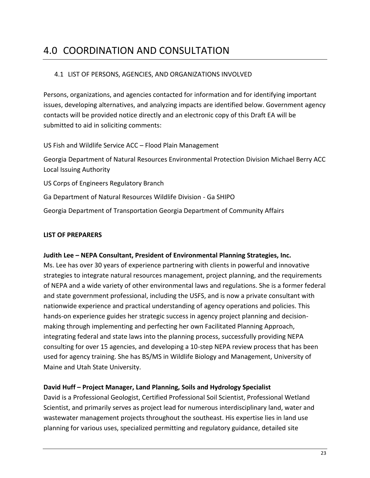# <span id="page-26-0"></span>4.0 COORDINATION AND CONSULTATION

## <span id="page-26-1"></span>4.1 LIST OF PERSONS, AGENCIES, AND ORGANIZATIONS INVOLVED

Persons, organizations, and agencies contacted for information and for identifying important issues, developing alternatives, and analyzing impacts are identified below. Government agency contacts will be provided notice directly and an electronic copy of this Draft EA will be submitted to aid in soliciting comments:

US Fish and Wildlife Service ACC – Flood Plain Management

Georgia Department of Natural Resources Environmental Protection Division Michael Berry ACC Local Issuing Authority

US Corps of Engineers Regulatory Branch

Ga Department of Natural Resources Wildlife Division - Ga SHIPO

Georgia Department of Transportation Georgia Department of Community Affairs

#### **LIST OF PREPARERS**

#### **Judith Lee – NEPA Consultant, President of Environmental Planning Strategies, Inc.**

Ms. Lee has over 30 years of experience partnering with clients in powerful and innovative strategies to integrate natural resources management, project planning, and the requirements of NEPA and a wide variety of other environmental laws and regulations. She is a former federal and state government professional, including the USFS, and is now a private consultant with nationwide experience and practical understanding of agency operations and policies. This hands-on experience guides her strategic success in agency project planning and decisionmaking through implementing and perfecting her own Facilitated Planning Approach, integrating federal and state laws into the planning process, successfully providing NEPA consulting for over 15 agencies, and developing a 10-step NEPA review process that has been used for agency training. She has BS/MS in Wildlife Biology and Management, University of Maine and Utah State University.

#### **David Huff – Project Manager, Land Planning, Soils and Hydrology Specialist**

David is a Professional Geologist, Certified Professional Soil Scientist, Professional Wetland Scientist, and primarily serves as project lead for numerous interdisciplinary land, water and wastewater management projects throughout the southeast. His expertise lies in land use planning for various uses, specialized permitting and regulatory guidance, detailed site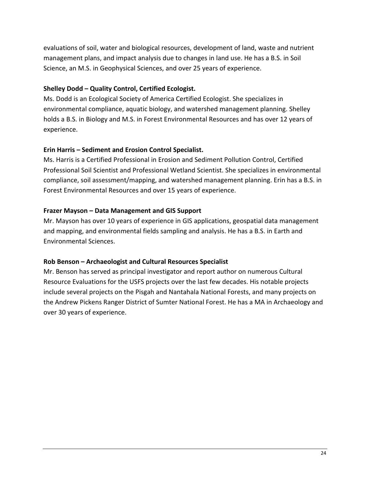evaluations of soil, water and biological resources, development of land, waste and nutrient management plans, and impact analysis due to changes in land use. He has a B.S. in Soil Science, an M.S. in Geophysical Sciences, and over 25 years of experience.

#### **Shelley Dodd – Quality Control, Certified Ecologist.**

Ms. Dodd is an Ecological Society of America Certified Ecologist. She specializes in environmental compliance, aquatic biology, and watershed management planning. Shelley holds a B.S. in Biology and M.S. in Forest Environmental Resources and has over 12 years of experience.

#### **Erin Harris – Sediment and Erosion Control Specialist.**

Ms. Harris is a Certified Professional in Erosion and Sediment Pollution Control, Certified Professional Soil Scientist and Professional Wetland Scientist. She specializes in environmental compliance, soil assessment/mapping, and watershed management planning. Erin has a B.S. in Forest Environmental Resources and over 15 years of experience.

# **Frazer Mayson – Data Management and GIS Support**

Mr. Mayson has over 10 years of experience in GIS applications, geospatial data management and mapping, and environmental fields sampling and analysis. He has a B.S. in Earth and Environmental Sciences.

#### **Rob Benson – Archaeologist and Cultural Resources Specialist**

Mr. Benson has served as principal investigator and report author on numerous Cultural Resource Evaluations for the USFS projects over the last few decades. His notable projects include several projects on the Pisgah and Nantahala National Forests, and many projects on the Andrew Pickens Ranger District of Sumter National Forest. He has a MA in Archaeology and over 30 years of experience.